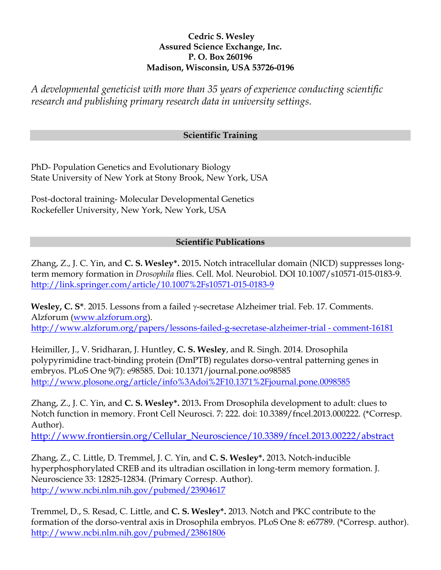## **Cedric S. Wesley Assured Science Exchange, Inc. P. O. Box 260196 Madison, Wisconsin, USA 53726-0196**

*A developmental geneticist with more than 35 years of experience conducting scientific research and publishing primary research data in university settings.*

## **Scientific Training**

PhD- Population Genetics and Evolutionary Biology State University of New York at Stony Brook, New York, USA

Post-doctoral training- Molecular Developmental Genetics Rockefeller University, New York, New York, USA

## **Scientific Publications**

Zhang, Z., J. C. Yin, and **C. S. Wesley\*.** 2015**.** Notch intracellular domain (NICD) suppresses longterm memory formation in *Drosophila* flies. Cell. Mol. Neurobiol. DOI 10.1007/s10571-015-0183-9. <http://link.springer.com/article/10.1007%2Fs10571-015-0183-9>

**Wesley, C.**  $S^*$ **.** 2015. Lessons from a failed  $\gamma$ -secretase Alzheimer trial. Feb. 17. Comments. Alzforum [\(www.alzforum.org\)](http://www.alzforum.org/). [http://www.alzforum.org/papers/lessons-failed-g-secretase-alzheimer-trial -](http://www.alzforum.org/papers/lessons-failed-g-secretase-alzheimer-trial#comment-16181) comment-16181

Heimiller, J., V. Sridharan, J. Huntley, **C. S. Wesley**, and R. Singh. 2014. Drosophila polypyrimidine tract-binding protein (DmPTB) regulates dorso-ventral patterning genes in embryos. PLoS One 9(7): e98585. Doi: 10.1371/journal.pone.oo98585 <http://www.plosone.org/article/info%3Adoi%2F10.1371%2Fjournal.pone.0098585>

Zhang, Z., J. C. Yin, and **C. S. Wesley\*.** 2013**.** From Drosophila development to adult: clues to Notch function in memory. Front Cell Neurosci. 7: 222. doi: 10.3389/fncel.2013.000222. (\*Corresp. Author).

[http://www.frontiersin.org/Cellular\\_Neuroscience/10.3389/fncel.2013.00222/abstract](http://www.frontiersin.org/Cellular_Neuroscience/10.3389/fncel.2013.00222/abstract)

Zhang, Z., C. Little, D. Tremmel, J. C. Yin, and **C. S. Wesley\*.** 2013**.** Notch-inducible hyperphosphorylated CREB and its ultradian oscillation in long-term memory formation. J. Neuroscience 33: 12825-12834. (Primary Corresp. Author). <http://www.ncbi.nlm.nih.gov/pubmed/23904617>

Tremmel, D., S. Resad, C. Little, and **C. S. Wesley\*.** 2013. Notch and PKC contribute to the formation of the dorso-ventral axis in Drosophila embryos. PLoS One 8: e67789. (\*Corresp. author). <http://www.ncbi.nlm.nih.gov/pubmed/23861806>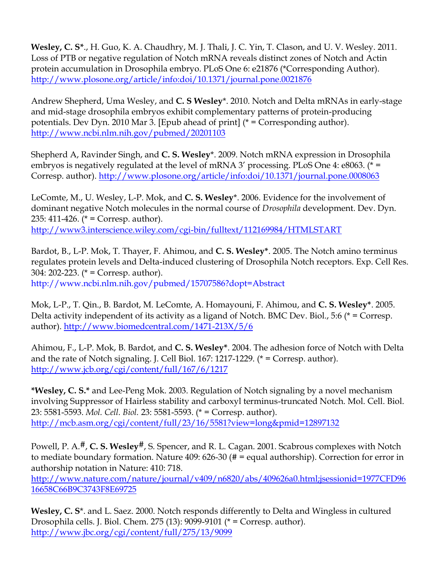**Wesley, C. S\***., H. Guo, K. A. Chaudhry, M. J. Thali, J. C. Yin, T. Clason, and U. V. Wesley. 2011. Loss of PTB or negative regulation of Notch mRNA reveals distinct zones of Notch and Actin protein accumulation in Drosophila embryo. PLoS One 6: e21876 (\*Corresponding Author). [http://www.plosone.org/article/info:doi/10.1371/journal.pone.0021876](http://www.plosone.org/article/info%3Adoi%2F10.1371%2Fjournal.pone.0021876)

Andrew Shepherd, Uma Wesley, and **C. S Wesley**\*. 2010. Notch and Delta mRNAs in early-stage and mid-stage drosophila embryos exhibit complementary patterns of protein-producing potentials. Dev Dyn. 2010 Mar 3. [Epub ahead of print] (\* = Corresponding author). <http://www.ncbi.nlm.nih.gov/pubmed/20201103>

Shepherd A, Ravinder Singh, and **C. S. Wesley**\*. 2009. Notch mRNA expression in Drosophila embryos is negatively regulated at the level of mRNA 3' processing. PLoS One 4: e8063. (\* = Corresp. author). [http://www.plosone.org/article/info:doi/10.1371/journal.pone.0008063](http://www.plosone.org/article/info%3Adoi%2F10.1371%2Fjournal.pone.0008063)

LeComte, M., U. Wesley, L-P. Mok, and **C. S. Wesley**\*. 2006. Evidence for the involvement of dominant negative Notch molecules in the normal course of *Drosophila* development. Dev. Dyn. 235: 411-426. ( $* =$  Corresp. author). <http://www3.interscience.wiley.com/cgi-bin/fulltext/112169984/HTMLSTART>

Bardot, B., L-P. Mok, T. Thayer, F. Ahimou, and **C. S. Wesley\***. 2005. The Notch amino terminus regulates protein levels and Delta-induced clustering of Drosophila Notch receptors. Exp. Cell Res. 304: 202-223. (\* = Corresp. author).

<http://www.ncbi.nlm.nih.gov/pubmed/15707586?dopt=Abstract>

Mok, L-P., T. Qin., B. Bardot, M. LeComte, A. Homayouni, F. Ahimou, and **C. S. Wesley\***. 2005. Delta activity independent of its activity as a ligand of Notch. BMC Dev. Biol., 5:6 (\* = Corresp. author).<http://www.biomedcentral.com/1471-213X/5/6>

Ahimou, F., L-P. Mok, B. Bardot, and **C. S. Wesley\***. 2004. The adhesion force of Notch with Delta and the rate of Notch signaling. J. Cell Biol. 167: 1217-1229. (\* = Corresp. author). <http://www.jcb.org/cgi/content/full/167/6/1217>

**\*Wesley, C. S.\*** and Lee-Peng Mok. 2003. Regulation of Notch signaling by a novel mechanism involving Suppressor of Hairless stability and carboxyl terminus-truncated Notch. Mol. Cell. Biol. 23: 5581-5593. *Mol. Cell. Biol.* 23: 5581-5593. (\* = Corresp. author). <http://mcb.asm.org/cgi/content/full/23/16/5581?view=long&pmid=12897132>

Powell, P. A.<sup>#</sup>, **C. S. Wesley<sup>#</sup>**, S. Spencer, and R. L. Cagan. 2001. Scabrous complexes with Notch to mediate boundary formation. Nature 409: 626-30 (# = equal authorship). Correction for error in authorship notation in Nature: 410: 718.

[http://www.nature.com/nature/journal/v409/n6820/abs/409626a0.html;jsessionid=1977CFD96](http://www.nature.com/nature/journal/v409/n6820/abs/409626a0.html;jsessionid=1977CFD9616658C66B9C3743F8E69725) [16658C66B9C3743F8E69725](http://www.nature.com/nature/journal/v409/n6820/abs/409626a0.html;jsessionid=1977CFD9616658C66B9C3743F8E69725)

**Wesley, C. S**\*. and L. Saez. 2000. Notch responds differently to Delta and Wingless in cultured Drosophila cells. J. Biol. Chem. 275 (13): 9099-9101 (\* = Corresp. author). <http://www.jbc.org/cgi/content/full/275/13/9099>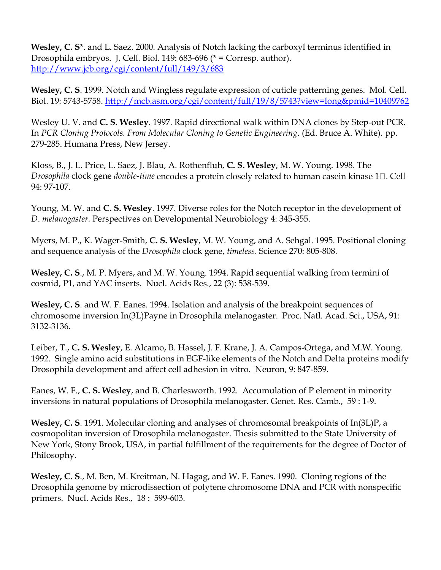**Wesley, C. S**\*. and L. Saez. 2000. Analysis of Notch lacking the carboxyl terminus identified in Drosophila embryos. J. Cell. Biol. 149: 683-696 (\* = Corresp. author). <http://www.jcb.org/cgi/content/full/149/3/683>

**Wesley, C. S**. 1999. Notch and Wingless regulate expression of cuticle patterning genes. Mol. Cell. Biol. 19: 5743-5758.<http://mcb.asm.org/cgi/content/full/19/8/5743?view=long&pmid=10409762>

Wesley U. V. and **C. S. Wesley**. 1997. Rapid directional walk within DNA clones by Step-out PCR. In *PCR Cloning Protocols. From Molecular Cloning to Genetic Engineering*. (Ed. Bruce A. White). pp. 279-285. Humana Press, New Jersey.

Kloss, B., J. L. Price, L. Saez, J. Blau, A. Rothenfluh, **C. S. Wesley**, M. W. Young. 1998. The *Drosophila* clock gene *double-time* encodes a protein closely related to human casein kinase 1□. Cell 94: 97-107.

Young, M. W. and **C. S. Wesley**. 1997. Diverse roles for the Notch receptor in the development of *D*. *melanogaster.* Perspectives on Developmental Neurobiology 4: 345-355.

Myers, M. P., K. Wager-Smith, **C. S. Wesley**, M. W. Young, and A. Sehgal. 1995. Positional cloning and sequence analysis of the *Drosophila* clock gene, *timeless*. Science 270: 805-808.

**Wesley, C. S**., M. P. Myers, and M. W. Young. 1994. Rapid sequential walking from termini of cosmid, P1, and YAC inserts. Nucl. Acids Res., 22 (3): 538-539.

**Wesley, C. S**. and W. F. Eanes. 1994. Isolation and analysis of the breakpoint sequences of chromosome inversion In(3L)Payne in Drosophila melanogaster. Proc. Natl. Acad. Sci., USA, 91: 3132-3136.

Leiber, T., **C. S. Wesley**, E. Alcamo, B. Hassel, J. F. Krane, J. A. Campos-Ortega, and M.W. Young. 1992. Single amino acid substitutions in EGF-like elements of the Notch and Delta proteins modify Drosophila development and affect cell adhesion in vitro. Neuron, 9: 847-859.

Eanes, W. F., **C. S. Wesley**, and B. Charlesworth. 1992. Accumulation of P element in minority inversions in natural populations of Drosophila melanogaster. Genet. Res. Camb., 59 : 1-9.

**Wesley, C. S**. 1991. Molecular cloning and analyses of chromosomal breakpoints of In(3L)P, a cosmopolitan inversion of Drosophila melanogaster. Thesis submitted to the State University of New York, Stony Brook, USA, in partial fulfillment of the requirements for the degree of Doctor of Philosophy.

**Wesley, C. S**., M. Ben, M. Kreitman, N. Hagag, and W. F. Eanes. 1990. Cloning regions of the Drosophila genome by microdissection of polytene chromosome DNA and PCR with nonspecific primers. Nucl. Acids Res., 18 : 599-603.